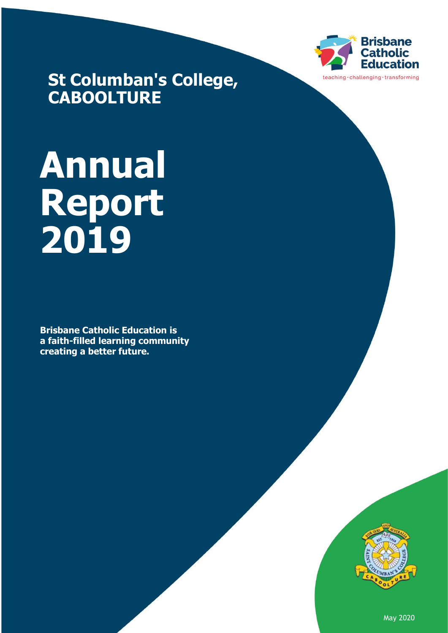

**St Columban's College, CABOOLTURE**

# **Annual Report 2019**

**Brisbane Catholic Education is a faith-filled learning community creating a better future.** 



May 2020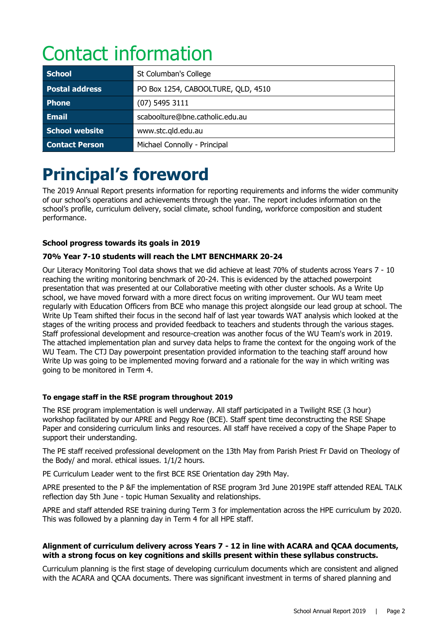# Contact information

| <b>School</b>         | St Columban's College              |
|-----------------------|------------------------------------|
| <b>Postal address</b> | PO Box 1254, CABOOLTURE, QLD, 4510 |
| <b>Phone</b>          | $(07)$ 5495 3111                   |
| <b>Email</b>          | scaboolture@bne.catholic.edu.au    |
| School website        | www.stc.qld.edu.au                 |
| <b>Contact Person</b> | Michael Connolly - Principal       |

## **Principal's foreword**

The 2019 Annual Report presents information for reporting requirements and informs the wider community of our school's operations and achievements through the year. The report includes information on the school's profile, curriculum delivery, social climate, school funding, workforce composition and student performance.

#### **School progress towards its goals in 2019**

#### **70% Year 7-10 students will reach the LMT BENCHMARK 20-24**

Our Literacy Monitoring Tool data shows that we did achieve at least 70% of students across Years 7 - 10 reaching the writing monitoring benchmark of 20-24. This is evidenced by the attached powerpoint presentation that was presented at our Collaborative meeting with other cluster schools. As a Write Up school, we have moved forward with a more direct focus on writing improvement. Our WU team meet regularly with Education Officers from BCE who manage this project alongside our lead group at school. The Write Up Team shifted their focus in the second half of last year towards WAT analysis which looked at the stages of the writing process and provided feedback to teachers and students through the various stages. Staff professional development and resource-creation was another focus of the WU Team's work in 2019. The attached implementation plan and survey data helps to frame the context for the ongoing work of the WU Team. The CTJ Day powerpoint presentation provided information to the teaching staff around how Write Up was going to be implemented moving forward and a rationale for the way in which writing was going to be monitored in Term 4.

#### **To engage staff in the RSE program throughout 2019**

The RSE program implementation is well underway. All staff participated in a Twilight RSE (3 hour) workshop facilitated by our APRE and Peggy Roe (BCE). Staff spent time deconstructing the RSE Shape Paper and considering curriculum links and resources. All staff have received a copy of the Shape Paper to support their understanding.

The PE staff received professional development on the 13th May from Parish Priest Fr David on Theology of the Body/ and moral. ethical issues. 1/1/2 hours.

PE Curriculum Leader went to the first BCE RSE Orientation day 29th May.

APRE presented to the P &F the implementation of RSE program 3rd June 2019PE staff attended REAL TALK reflection day 5th June - topic Human Sexuality and relationships.

APRE and staff attended RSE training during Term 3 for implementation across the HPE curriculum by 2020. This was followed by a planning day in Term 4 for all HPE staff.

#### **Alignment of curriculum delivery across Years 7 - 12 in line with ACARA and QCAA documents, with a strong focus on key cognitions and skills present within these syllabus constructs.**

Curriculum planning is the first stage of developing curriculum documents which are consistent and aligned with the ACARA and QCAA documents. There was significant investment in terms of shared planning and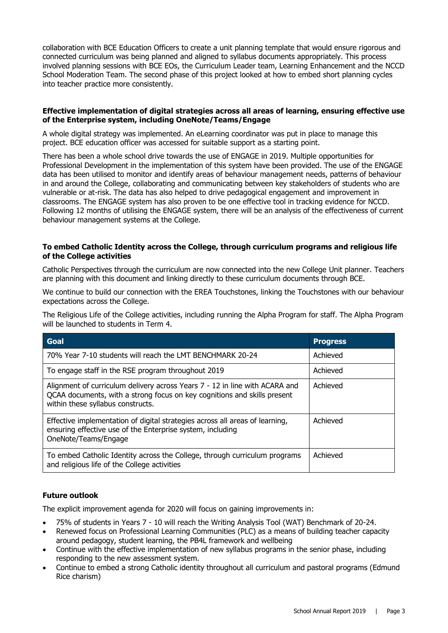collaboration with BCE Education Officers to create a unit planning template that would ensure rigorous and connected curriculum was being planned and aligned to syllabus documents appropriately. This process involved planning sessions with BCE EOs, the Curriculum Leader team, Learning Enhancement and the NCCD School Moderation Team. The second phase of this project looked at how to embed short planning cycles into teacher practice more consistently.

#### **Effective implementation of digital strategies across all areas of learning, ensuring effective use of the Enterprise system, including OneNote/Teams/Engage**

A whole digital strategy was implemented. An eLearning coordinator was put in place to manage this project. BCE education officer was accessed for suitable support as a starting point.

There has been a whole school drive towards the use of ENGAGE in 2019. Multiple opportunities for Professional Development in the implementation of this system have been provided. The use of the ENGAGE data has been utilised to monitor and identify areas of behaviour management needs, patterns of behaviour in and around the College, collaborating and communicating between key stakeholders of students who are vulnerable or at-risk. The data has also helped to drive pedagogical engagement and improvement in classrooms. The ENGAGE system has also proven to be one effective tool in tracking evidence for NCCD. Following 12 months of utilising the ENGAGE system, there will be an analysis of the effectiveness of current behaviour management systems at the College.

#### **To embed Catholic Identity across the College, through curriculum programs and religious life of the College activities**

Catholic Perspectives through the curriculum are now connected into the new College Unit planner. Teachers are planning with this document and linking directly to these curriculum documents through BCE.

We continue to build our connection with the EREA Touchstones, linking the Touchstones with our behaviour expectations across the College.

The Religious Life of the College activities, including running the Alpha Program for staff. The Alpha Program will be launched to students in Term 4.

| Goal                                                                                                                                                                                         | <b>Progress</b> |
|----------------------------------------------------------------------------------------------------------------------------------------------------------------------------------------------|-----------------|
| 70% Year 7-10 students will reach the LMT BENCHMARK 20-24                                                                                                                                    | Achieved        |
| To engage staff in the RSE program throughout 2019                                                                                                                                           | Achieved        |
| Alignment of curriculum delivery across Years 7 - 12 in line with ACARA and<br>QCAA documents, with a strong focus on key cognitions and skills present<br>within these syllabus constructs. | Achieved        |
| Effective implementation of digital strategies across all areas of learning,<br>ensuring effective use of the Enterprise system, including<br>OneNote/Teams/Engage                           | Achieved        |
| To embed Catholic Identity across the College, through curriculum programs<br>and religious life of the College activities                                                                   | Achieved        |

#### **Future outlook**

The explicit improvement agenda for 2020 will focus on gaining improvements in:

- 75% of students in Years 7 10 will reach the Writing Analysis Tool (WAT) Benchmark of 20-24.
- Renewed focus on Professional Learning Communities (PLC) as a means of building teacher capacity around pedagogy, student learning, the PB4L framework and wellbeing
- Continue with the effective implementation of new syllabus programs in the senior phase, including responding to the new assessment system.
- Continue to embed a strong Catholic identity throughout all curriculum and pastoral programs (Edmund Rice charism)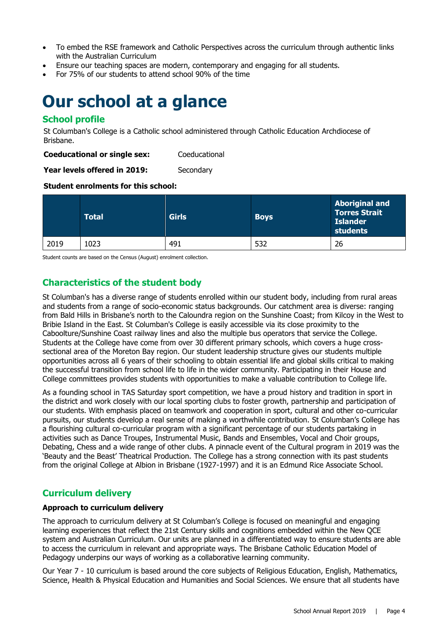- To embed the RSE framework and Catholic Perspectives across the curriculum through authentic links with the Australian Curriculum
- Ensure our teaching spaces are modern, contemporary and engaging for all students.
- For 75% of our students to attend school 90% of the time

### **Our school at a glance**

#### **School profile**

St Columban's College is a Catholic school administered through Catholic Education Archdiocese of Brisbane.

**Coeducational or single sex:** Coeducational

**Year levels offered in 2019:** Secondary

#### **Student enrolments for this school:**

|      | <b>Total</b> | <b>Girls</b> | <b>Boys</b> | <b>Aboriginal and</b><br><b>Torres Strait</b><br><b>Islander</b><br>students |
|------|--------------|--------------|-------------|------------------------------------------------------------------------------|
| 2019 | 1023         | 491          | 532         | 26                                                                           |

Student counts are based on the Census (August) enrolment collection.

#### **Characteristics of the student body**

St Columban's has a diverse range of students enrolled within our student body, including from rural areas and students from a range of socio-economic status backgrounds. Our catchment area is diverse: ranging from Bald Hills in Brisbane's north to the Caloundra region on the Sunshine Coast; from Kilcoy in the West to Bribie Island in the East. St Columban's College is easily accessible via its close proximity to the Caboolture/Sunshine Coast railway lines and also the multiple bus operators that service the College. Students at the College have come from over 30 different primary schools, which covers a huge crosssectional area of the Moreton Bay region. Our student leadership structure gives our students multiple opportunities across all 6 years of their schooling to obtain essential life and global skills critical to making the successful transition from school life to life in the wider community. Participating in their House and College committees provides students with opportunities to make a valuable contribution to College life.

As a founding school in TAS Saturday sport competition, we have a proud history and tradition in sport in the district and work closely with our local sporting clubs to foster growth, partnership and participation of our students. With emphasis placed on teamwork and cooperation in sport, cultural and other co-curricular pursuits, our students develop a real sense of making a worthwhile contribution. St Columban's College has a flourishing cultural co-curricular program with a significant percentage of our students partaking in activities such as Dance Troupes, Instrumental Music, Bands and Ensembles, Vocal and Choir groups, Debating, Chess and a wide range of other clubs. A pinnacle event of the Cultural program in 2019 was the 'Beauty and the Beast' Theatrical Production. The College has a strong connection with its past students from the original College at Albion in Brisbane (1927-1997) and it is an Edmund Rice Associate School.

#### **Curriculum delivery**

#### **Approach to curriculum delivery**

The approach to curriculum delivery at St Columban's College is focused on meaningful and engaging learning experiences that reflect the 21st Century skills and cognitions embedded within the New QCE system and Australian Curriculum. Our units are planned in a differentiated way to ensure students are able to access the curriculum in relevant and appropriate ways. The Brisbane Catholic Education Model of Pedagogy underpins our ways of working as a collaborative learning community.

Our Year 7 - 10 curriculum is based around the core subjects of Religious Education, English, Mathematics, Science, Health & Physical Education and Humanities and Social Sciences. We ensure that all students have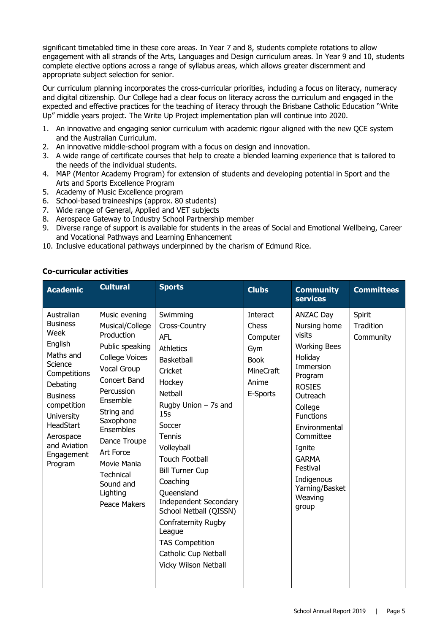significant timetabled time in these core areas. In Year 7 and 8, students complete rotations to allow engagement with all strands of the Arts, Languages and Design curriculum areas. In Year 9 and 10, students complete elective options across a range of syllabus areas, which allows greater discernment and appropriate subject selection for senior.

Our curriculum planning incorporates the cross-curricular priorities, including a focus on literacy, numeracy and digital citizenship. Our College had a clear focus on literacy across the curriculum and engaged in the expected and effective practices for the teaching of literacy through the Brisbane Catholic Education "Write Up" middle years project. The Write Up Project implementation plan will continue into 2020.

- 1. An innovative and engaging senior curriculum with academic rigour aligned with the new QCE system and the Australian Curriculum.
- 2. An innovative middle-school program with a focus on design and innovation.
- 3. A wide range of certificate courses that help to create a blended learning experience that is tailored to the needs of the individual students.
- 4. MAP (Mentor Academy Program) for extension of students and developing potential in Sport and the Arts and Sports Excellence Program
- 5. Academy of Music Excellence program
- 6. School-based traineeships (approx. 80 students)
- 7. Wide range of General, Applied and VET subjects
- 8. Aerospace Gateway to Industry School Partnership member
- 9. Diverse range of support is available for students in the areas of Social and Emotional Wellbeing, Career and Vocational Pathways and Learning Enhancement
- 10. Inclusive educational pathways underpinned by the charism of Edmund Rice.

#### **Co-curricular activities**

|                                                                                                                                                                                                                                                                                                                                                                                                                                                                                                                                                                                                                                                                                                                                                                                                                                                                                                                                                                                        | <b>Interact</b>                                                           |                                                                                                                                                                                                                                                                                          |                                  |
|----------------------------------------------------------------------------------------------------------------------------------------------------------------------------------------------------------------------------------------------------------------------------------------------------------------------------------------------------------------------------------------------------------------------------------------------------------------------------------------------------------------------------------------------------------------------------------------------------------------------------------------------------------------------------------------------------------------------------------------------------------------------------------------------------------------------------------------------------------------------------------------------------------------------------------------------------------------------------------------|---------------------------------------------------------------------------|------------------------------------------------------------------------------------------------------------------------------------------------------------------------------------------------------------------------------------------------------------------------------------------|----------------------------------|
| Australian<br>Swimming<br>Music evening<br><b>Business</b><br>Musical/College<br>Cross-Country<br>Week<br>Production<br><b>AFL</b><br>English<br>Public speaking<br><b>Athletics</b><br>Maths and<br><b>College Voices</b><br><b>Basketball</b><br>Science<br>Vocal Group<br>Cricket<br>Competitions<br>Concert Band<br>Hockey<br>Debating<br>Percussion<br><b>Netball</b><br><b>Business</b><br>Ensemble<br>Rugby Union $-$ 7s and<br>competition<br>String and<br>15s<br><b>University</b><br>Saxophone<br>HeadStart<br>Soccer<br>Ensembles<br>Aerospace<br>Tennis<br>Dance Troupe<br>and Aviation<br>Volleyball<br>Art Force<br>Engagement<br><b>Touch Football</b><br>Movie Mania<br>Program<br><b>Bill Turner Cup</b><br><b>Technical</b><br>Coaching<br>Sound and<br>Lighting<br>Oueensland<br><b>Independent Secondary</b><br>Peace Makers<br>School Netball (QISSN)<br>Confraternity Rugby<br>League<br><b>TAS Competition</b><br>Catholic Cup Netball<br>Vicky Wilson Netball | Chess<br>Computer<br>Gym<br><b>Book</b><br>MineCraft<br>Anime<br>E-Sports | <b>ANZAC Day</b><br>Nursing home<br>visits<br><b>Working Bees</b><br>Holiday<br>Immersion<br>Program<br><b>ROSIES</b><br>Outreach<br>College<br><b>Functions</b><br>Environmental<br>Committee<br>Ignite<br><b>GARMA</b><br>Festival<br>Indigenous<br>Yarning/Basket<br>Weaving<br>group | Spirit<br>Tradition<br>Community |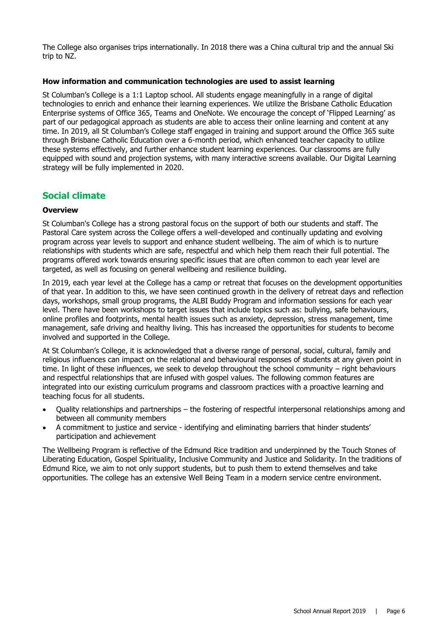The College also organises trips internationally. In 2018 there was a China cultural trip and the annual Ski trip to NZ.

#### **How information and communication technologies are used to assist learning**

St Columban's College is a 1:1 Laptop school. All students engage meaningfully in a range of digital technologies to enrich and enhance their learning experiences. We utilize the Brisbane Catholic Education Enterprise systems of Office 365, Teams and OneNote. We encourage the concept of 'Flipped Learning' as part of our pedagogical approach as students are able to access their online learning and content at any time. In 2019, all St Columban's College staff engaged in training and support around the Office 365 suite through Brisbane Catholic Education over a 6-month period, which enhanced teacher capacity to utilize these systems effectively, and further enhance student learning experiences. Our classrooms are fully equipped with sound and projection systems, with many interactive screens available. Our Digital Learning strategy will be fully implemented in 2020.

#### **Social climate**

#### **Overview**

St Columban's College has a strong pastoral focus on the support of both our students and staff. The Pastoral Care system across the College offers a well-developed and continually updating and evolving program across year levels to support and enhance student wellbeing. The aim of which is to nurture relationships with students which are safe, respectful and which help them reach their full potential. The programs offered work towards ensuring specific issues that are often common to each year level are targeted, as well as focusing on general wellbeing and resilience building.

In 2019, each year level at the College has a camp or retreat that focuses on the development opportunities of that year. In addition to this, we have seen continued growth in the delivery of retreat days and reflection days, workshops, small group programs, the ALBI Buddy Program and information sessions for each year level. There have been workshops to target issues that include topics such as: bullying, safe behaviours, online profiles and footprints, mental health issues such as anxiety, depression, stress management, time management, safe driving and healthy living. This has increased the opportunities for students to become involved and supported in the College.

At St Columban's College, it is acknowledged that a diverse range of personal, social, cultural, family and religious influences can impact on the relational and behavioural responses of students at any given point in time. In light of these influences, we seek to develop throughout the school community – right behaviours and respectful relationships that are infused with gospel values. The following common features are integrated into our existing curriculum programs and classroom practices with a proactive learning and teaching focus for all students.

- Quality relationships and partnerships the fostering of respectful interpersonal relationships among and between all community members
- A commitment to justice and service identifying and eliminating barriers that hinder students' participation and achievement

The Wellbeing Program is reflective of the Edmund Rice tradition and underpinned by the Touch Stones of Liberating Education, Gospel Spirituality, Inclusive Community and Justice and Solidarity. In the traditions of Edmund Rice, we aim to not only support students, but to push them to extend themselves and take opportunities. The college has an extensive Well Being Team in a modern service centre environment.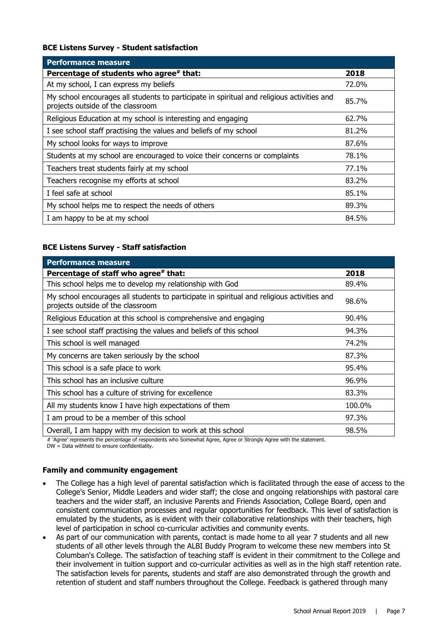#### **BCE Listens Survey - Student satisfaction**

| <b>Performance measure</b>                                                                                                      |       |
|---------------------------------------------------------------------------------------------------------------------------------|-------|
| Percentage of students who agree# that:                                                                                         | 2018  |
| At my school, I can express my beliefs                                                                                          | 72.0% |
| My school encourages all students to participate in spiritual and religious activities and<br>projects outside of the classroom | 85.7% |
| Religious Education at my school is interesting and engaging                                                                    | 62.7% |
| I see school staff practising the values and beliefs of my school                                                               | 81.2% |
| My school looks for ways to improve                                                                                             | 87.6% |
| Students at my school are encouraged to voice their concerns or complaints                                                      | 78.1% |
| Teachers treat students fairly at my school                                                                                     | 77.1% |
| Teachers recognise my efforts at school                                                                                         | 83.2% |
| I feel safe at school                                                                                                           | 85.1% |
| My school helps me to respect the needs of others                                                                               | 89.3% |
| I am happy to be at my school                                                                                                   | 84.5% |

#### **BCE Listens Survey - Staff satisfaction**

| <b>Performance measure</b>                                                                                                      |        |
|---------------------------------------------------------------------------------------------------------------------------------|--------|
| Percentage of staff who agree# that:                                                                                            | 2018   |
| This school helps me to develop my relationship with God                                                                        | 89.4%  |
| My school encourages all students to participate in spiritual and religious activities and<br>projects outside of the classroom | 98.6%  |
| Religious Education at this school is comprehensive and engaging                                                                | 90.4%  |
| I see school staff practising the values and beliefs of this school                                                             | 94.3%  |
| This school is well managed                                                                                                     | 74.2%  |
| My concerns are taken seriously by the school                                                                                   | 87.3%  |
| This school is a safe place to work                                                                                             | 95.4%  |
| This school has an inclusive culture                                                                                            | 96.9%  |
| This school has a culture of striving for excellence                                                                            | 83.3%  |
| All my students know I have high expectations of them                                                                           | 100.0% |
| I am proud to be a member of this school                                                                                        | 97.3%  |
| Overall, I am happy with my decision to work at this school                                                                     | 98.5%  |

# 'Agree' represents the percentage of respondents who Somewhat Agree, Agree or Strongly Agree with the statement.

 $DW = Data$  withheld to ensure confidentiality.

#### **Family and community engagement**

- The College has a high level of parental satisfaction which is facilitated through the ease of access to the College's Senior, Middle Leaders and wider staff; the close and ongoing relationships with pastoral care teachers and the wider staff, an inclusive Parents and Friends Association, College Board, open and consistent communication processes and regular opportunities for feedback. This level of satisfaction is emulated by the students, as is evident with their collaborative relationships with their teachers, high level of participation in school co-curricular activities and community events.
- As part of our communication with parents, contact is made home to all year 7 students and all new students of all other levels through the ALBI Buddy Program to welcome these new members into St Columban's College. The satisfaction of teaching staff is evident in their commitment to the College and their involvement in tuition support and co-curricular activities as well as in the high staff retention rate. The satisfaction levels for parents, students and staff are also demonstrated through the growth and retention of student and staff numbers throughout the College. Feedback is gathered through many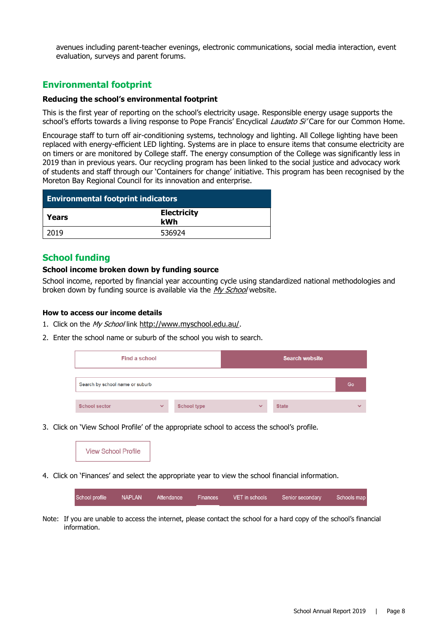avenues including parent-teacher evenings, electronic communications, social media interaction, event evaluation, surveys and parent forums.

#### **Environmental footprint**

#### **Reducing the school's environmental footprint**

This is the first year of reporting on the school's electricity usage. Responsible energy usage supports the school's efforts towards a living response to Pope Francis' Encyclical Laudato Si' Care for our Common Home.

Encourage staff to turn off air-conditioning systems, technology and lighting. All College lighting have been replaced with energy-efficient LED lighting. Systems are in place to ensure items that consume electricity are on timers or are monitored by College staff. The energy consumption of the College was significantly less in 2019 than in previous years. Our recycling program has been linked to the social justice and advocacy work of students and staff through our 'Containers for change' initiative. This program has been recognised by the Moreton Bay Regional Council for its innovation and enterprise.

| <b>Environmental footprint indicators</b> |                           |  |
|-------------------------------------------|---------------------------|--|
| Years                                     | <b>Electricity</b><br>kWh |  |
| 2019                                      | 536924                    |  |

#### **School funding**

#### **School income broken down by funding source**

School income, reported by financial year accounting cycle using standardized national methodologies and broken down by funding source is available via the [My School](http://www.myschool.edu.au/) website.

#### **How to access our income details**

- 1. Click on the My School link <http://www.myschool.edu.au/>.
- 2. Enter the school name or suburb of the school you wish to search.

| Find a school                   |              |                    | <b>Search website</b> |              |              |
|---------------------------------|--------------|--------------------|-----------------------|--------------|--------------|
| Search by school name or suburb |              |                    |                       |              | Go           |
| <b>School sector</b>            | $\checkmark$ | <b>School type</b> | $\checkmark$          | <b>State</b> | $\checkmark$ |

3. Click on 'View School Profile' of the appropriate school to access the school's profile.



4. Click on 'Finances' and select the appropriate year to view the school financial information.

**NAPLAN** School profile Attendance Finances VET in schools Senior secondary Schools map

Note: If you are unable to access the internet, please contact the school for a hard copy of the school's financial information.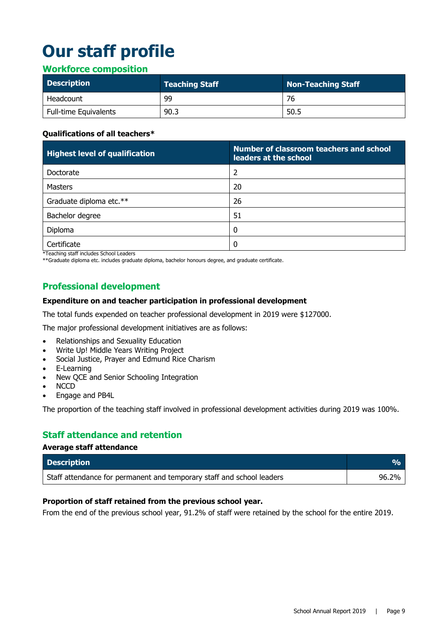# **Our staff profile**

#### **Workforce composition**

| <b>Description</b>           | <b>Teaching Staff</b> | Non-Teaching Staff |
|------------------------------|-----------------------|--------------------|
| Headcount                    | 99                    | 76                 |
| <b>Full-time Equivalents</b> | 90.3                  | 50.5               |

#### **Qualifications of all teachers\***

| <b>Highest level of qualification</b> | <b>Number of classroom teachers and school</b><br>leaders at the school |
|---------------------------------------|-------------------------------------------------------------------------|
| Doctorate                             | 2                                                                       |
| Masters                               | 20                                                                      |
| Graduate diploma etc.**               | 26                                                                      |
| Bachelor degree                       | 51                                                                      |
| Diploma                               | 0                                                                       |
| Certificate                           | 0                                                                       |

\*Teaching staff includes School Leaders

\*\*Graduate diploma etc. includes graduate diploma, bachelor honours degree, and graduate certificate.

#### **Professional development**

#### **Expenditure on and teacher participation in professional development**

The total funds expended on teacher professional development in 2019 were \$127000.

The major professional development initiatives are as follows:

- Relationships and Sexuality Education
- Write Up! Middle Years Writing Project
- Social Justice, Prayer and Edmund Rice Charism
- E-Learning
- New QCE and Senior Schooling Integration
- **NCCD**
- Engage and PB4L

**Average staff attendance**

The proportion of the teaching staff involved in professional development activities during 2019 was 100%.

#### **Staff attendance and retention**

| Average start attenuance                                              |                           |
|-----------------------------------------------------------------------|---------------------------|
| <b>Description</b>                                                    | $\mathbf{Q}_{\mathbf{Q}}$ |
| Staff attendance for permanent and temporary staff and school leaders | 96.2%                     |

#### **Proportion of staff retained from the previous school year.**

From the end of the previous school year, 91.2% of staff were retained by the school for the entire 2019.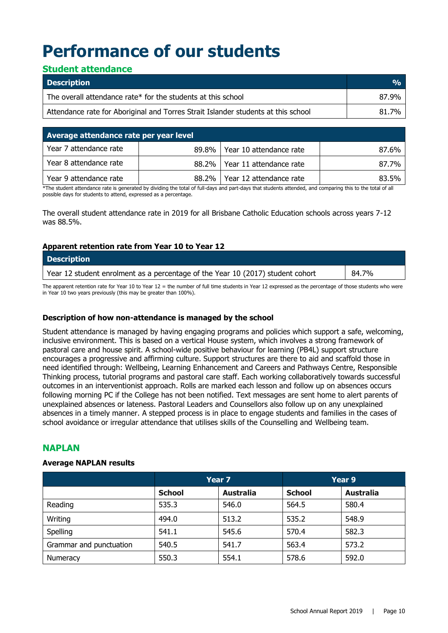# **Performance of our students**

#### **Student attendance**

| <b>Description</b>                                                                | $\frac{O}{O}$ |
|-----------------------------------------------------------------------------------|---------------|
| The overall attendance rate* for the students at this school                      | 87.9%         |
| Attendance rate for Aboriginal and Torres Strait Islander students at this school | 81.7%         |

| Average attendance rate per year level |          |                                 |       |
|----------------------------------------|----------|---------------------------------|-------|
| Year 7 attendance rate                 |          | 89.8%   Year 10 attendance rate | 87.6% |
| Year 8 attendance rate                 |          | 88.2%   Year 11 attendance rate | 87.7% |
| Year 9 attendance rate                 | $88.2\%$ | Year 12 attendance rate         | 83.5% |

\*The student attendance rate is generated by dividing the total of full-days and part-days that students attended, and comparing this to the total of all possible days for students to attend, expressed as a percentage.

The overall student attendance rate in 2019 for all Brisbane Catholic Education schools across years 7-12 was 88.5%.

#### **Apparent retention rate from Year 10 to Year 12**

| <b>Description</b>                                                             |       |
|--------------------------------------------------------------------------------|-------|
| Year 12 student enrolment as a percentage of the Year 10 (2017) student cohort | 84.7% |

The apparent retention rate for Year 10 to Year 12 = the number of full time students in Year 12 expressed as the percentage of those students who were in Year 10 two years previously (this may be greater than 100%).

#### **Description of how non-attendance is managed by the school**

Student attendance is managed by having engaging programs and policies which support a safe, welcoming, inclusive environment. This is based on a vertical House system, which involves a strong framework of pastoral care and house spirit. A school-wide positive behaviour for learning (PB4L) support structure encourages a progressive and affirming culture. Support structures are there to aid and scaffold those in need identified through: Wellbeing, Learning Enhancement and Careers and Pathways Centre, Responsible Thinking process, tutorial programs and pastoral care staff. Each working collaboratively towards successful outcomes in an interventionist approach. Rolls are marked each lesson and follow up on absences occurs following morning PC if the College has not been notified. Text messages are sent home to alert parents of unexplained absences or lateness. Pastoral Leaders and Counsellors also follow up on any unexplained absences in a timely manner. A stepped process is in place to engage students and families in the cases of school avoidance or irregular attendance that utilises skills of the Counselling and Wellbeing team.

#### **NAPLAN**

#### **Average NAPLAN results**

|                         | Year 7        |                  |               | Year 9           |  |
|-------------------------|---------------|------------------|---------------|------------------|--|
|                         | <b>School</b> | <b>Australia</b> | <b>School</b> | <b>Australia</b> |  |
| Reading                 | 535.3         | 546.0            | 564.5         | 580.4            |  |
| Writing                 | 494.0         | 513.2            | 535.2         | 548.9            |  |
| Spelling                | 541.1         | 545.6            | 570.4         | 582.3            |  |
| Grammar and punctuation | 540.5         | 541.7            | 563.4         | 573.2            |  |
| Numeracy                | 550.3         | 554.1            | 578.6         | 592.0            |  |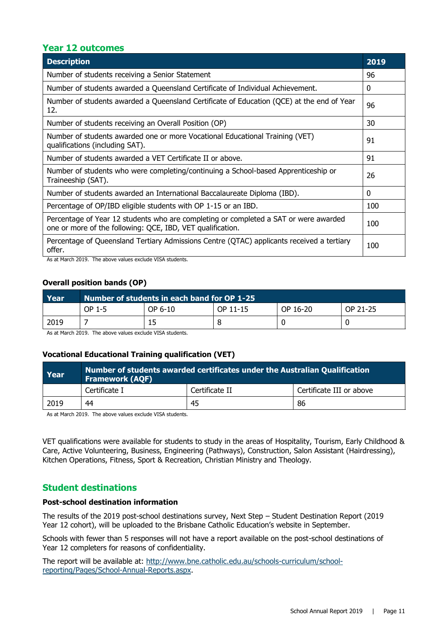#### **Year 12 outcomes**

| <b>Description</b>                                                                                                                                                                                                                                                                                                                                                                                                                                                                          | 2019 |  |
|---------------------------------------------------------------------------------------------------------------------------------------------------------------------------------------------------------------------------------------------------------------------------------------------------------------------------------------------------------------------------------------------------------------------------------------------------------------------------------------------|------|--|
| Number of students receiving a Senior Statement                                                                                                                                                                                                                                                                                                                                                                                                                                             |      |  |
| Number of students awarded a Queensland Certificate of Individual Achievement.                                                                                                                                                                                                                                                                                                                                                                                                              | 0    |  |
| Number of students awarded a Queensland Certificate of Education (QCE) at the end of Year<br>12.                                                                                                                                                                                                                                                                                                                                                                                            | 96   |  |
| Number of students receiving an Overall Position (OP)                                                                                                                                                                                                                                                                                                                                                                                                                                       | 30   |  |
| Number of students awarded one or more Vocational Educational Training (VET)<br>qualifications (including SAT).                                                                                                                                                                                                                                                                                                                                                                             | 91   |  |
| Number of students awarded a VET Certificate II or above.                                                                                                                                                                                                                                                                                                                                                                                                                                   | 91   |  |
| Number of students who were completing/continuing a School-based Apprenticeship or<br>Traineeship (SAT).                                                                                                                                                                                                                                                                                                                                                                                    | 26   |  |
| Number of students awarded an International Baccalaureate Diploma (IBD).                                                                                                                                                                                                                                                                                                                                                                                                                    | 0    |  |
| Percentage of OP/IBD eligible students with OP 1-15 or an IBD.                                                                                                                                                                                                                                                                                                                                                                                                                              | 100  |  |
| Percentage of Year 12 students who are completing or completed a SAT or were awarded<br>one or more of the following: QCE, IBD, VET qualification.                                                                                                                                                                                                                                                                                                                                          | 100  |  |
| Percentage of Queensland Tertiary Admissions Centre (QTAC) applicants received a tertiary<br>offer.<br>$\overline{1}$ $\overline{0}$ $\overline{1}$ $\overline{1}$ $\overline{1}$ $\overline{1}$ $\overline{1}$ $\overline{1}$ $\overline{1}$ $\overline{1}$ $\overline{1}$ $\overline{1}$ $\overline{1}$ $\overline{1}$ $\overline{1}$ $\overline{1}$ $\overline{1}$ $\overline{1}$ $\overline{1}$ $\overline{1}$ $\overline{1}$ $\overline{1}$ $\overline{1}$ $\overline{1}$ $\overline{$ | 100  |  |

As at March 2019. The above values exclude VISA students.

#### **Overall position bands (OP)**

| Year | Number of students in each band for OP 1-25 |         |          |          |          |
|------|---------------------------------------------|---------|----------|----------|----------|
|      | OP 1-5                                      | OP 6-10 | OP 11-15 | OP 16-20 | OP 21-25 |
| 2019 |                                             | 15      |          |          |          |

As at March 2019. The above values exclude VISA students.

#### **Vocational Educational Training qualification (VET)**

| Year | Number of students awarded certificates under the Australian Qualification<br><b>Framework (AQF)</b> |                |                          |  |
|------|------------------------------------------------------------------------------------------------------|----------------|--------------------------|--|
|      | Certificate I                                                                                        | Certificate II | Certificate III or above |  |
| 2019 | 44                                                                                                   | 45             | 86                       |  |

As at March 2019. The above values exclude VISA students.

VET qualifications were available for students to study in the areas of Hospitality, Tourism, Early Childhood & Care, Active Volunteering, Business, Engineering (Pathways), Construction, Salon Assistant (Hairdressing), Kitchen Operations, Fitness, Sport & Recreation, Christian Ministry and Theology.

#### **Student destinations**

#### **Post-school destination information**

The results of the 2019 post-school destinations survey, Next Step – Student Destination Report (2019 Year 12 cohort), will be uploaded to the Brisbane Catholic Education's website in September.

Schools with fewer than 5 responses will not have a report available on the post-school destinations of Year 12 completers for reasons of confidentiality.

The report will be available at: [http://www.bne.catholic.edu.au/schools-curriculum/school](http://www.bne.catholic.edu.au/schools-curriculum/school-reporting/Pages/School-Annual-Reports.aspx)[reporting/Pages/School-Annual-Reports.aspx.](http://www.bne.catholic.edu.au/schools-curriculum/school-reporting/Pages/School-Annual-Reports.aspx)